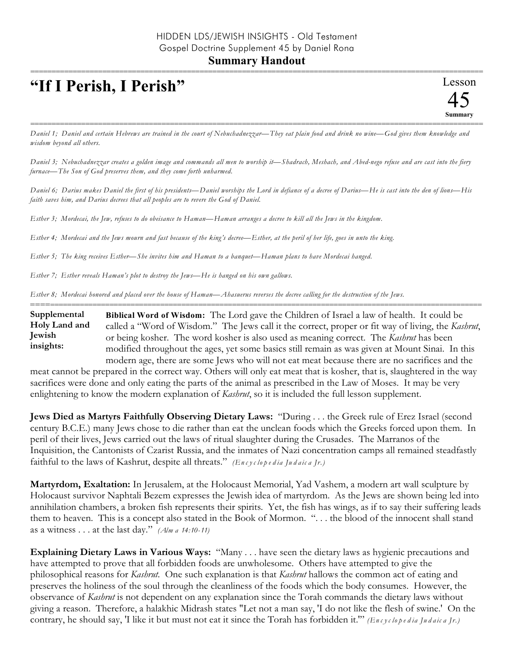## **"If I Perish, I Perish"**

=========================================================================================================== *Daniel 1; Daniel and certain Hebrews are trained in the court of Nebuchadnezzar—They eat plain food and drink no wine—God gives them knowledge and wisdom beyond all others.*

*Daniel 3; Nebuchadnezzar creates a golden image and commands all men to worship it—Shadrach, Meshach, and Abed-nego refuse and are cast into the fiery furnace—The Son of God preserves them, and they come forth unharmed.*

*Daniel 6; Darius makes Daniel the first of his presidents—Daniel worships the Lord in defiance of a decree of Darius—He is cast into the den of lions—His faith saves him, and Darius decrees that all peoples are to revere the God of Daniel.*

*Esther 3; Mordecai, the Jew, refuses to do obeisance to Haman—Haman arranges a decree to kill all the Jews in the kingdom.* 

*Esther 4; Mordecai and the Jews mourn and fast because of the king's decree—Esther, at the peril of her life, goes in unto the king.* 

*Esther 5; The king receives Esther—She invites him and Haman to a banquet—Haman plans to have Mordecai hanged.*

*Esther 7; Esther reveals Haman's plot to destroy the Jews—He is hanged on his own gallows.*

*Esther 8; Mordecai honored and placed over the house of Haman—Ahasuerus reverses the decree calling for the destruction of the Jews.*

**Biblical Word of Wisdom:** The Lord gave the Children of Israel a law of health. It could be called a "Word of Wisdom." The Jews call it the correct, proper or fit way of living, the *Kashrut*, or being kosher. The word kosher is also used as meaning correct. The *Kashrut* has been modified throughout the ages, yet some basics still remain as was given at Mount Sinai. In this modern age, there are some Jews who will not eat meat because there are no sacrifices and the **Supplemental Holy Land and Jewish insights:**

==========================================================================================================

meat cannot be prepared in the correct way. Others will only eat meat that is kosher, that is, slaughtered in the way sacrifices were done and only eating the parts of the animal as prescribed in the Law of Moses. It may be very enlightening to know the modern explanation of *Kashrut*, so it is included the full lesson supplement.

**Jews Died as Martyrs Faithfully Observing Dietary Laws:** "During . . . the Greek rule of Erez Israel (second century B.C.E.) many Jews chose to die rather than eat the unclean foods which the Greeks forced upon them. In peril of their lives, Jews carried out the laws of ritual slaughter during the Crusades. The Marranos of the Inquisition, the Cantonists of Czarist Russia, and the inmates of Nazi concentration camps all remained steadfastly faithful to the laws of Kashrut, despite all threats." *(En c y c lo p e d ia Ju d a ic a Jr.)*

**Martyrdom, Exaltation:** In Jerusalem, at the Holocaust Memorial, Yad Vashem, a modern art wall sculpture by Holocaust survivor Naphtali Bezem expresses the Jewish idea of martyrdom. As the Jews are shown being led into annihilation chambers, a broken fish represents their spirits. Yet, the fish has wings, as if to say their suffering leads them to heaven. This is a concept also stated in the Book of Mormon. ". . . the blood of the innocent shall stand as a witness . . . at the last day." *(Alm a 14:10-11)*

**Explaining Dietary Laws in Various Ways:** "Many . . . have seen the dietary laws as hygienic precautions and have attempted to prove that all forbidden foods are unwholesome. Others have attempted to give the philosophical reasons for *Kashrut.* One such explanation is that *Kashrut* hallows the common act of eating and preserves the holiness of the soul through the cleanliness of the foods which the body consumes. However, the observance of *Kashrut* is not dependent on any explanation since the Torah commands the dietary laws without giving a reason. Therefore, a halakhic Midrash states "Let not a man say, 'I do not like the flesh of swine.' On the contrary, he should say, 'I like it but must not eat it since the Torah has forbidden it.'" *(En c y c lo p e d ia Ju d a ic a Jr.)*